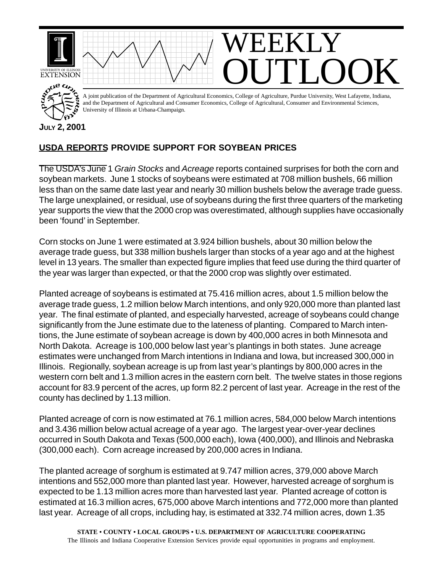

## **USDA REPORTS PROVIDE SUPPORT FOR SOYBEAN PRICES**

The USDA's June 1 *Grain Stocks* and *Acreage* reports contained surprises for both the corn and soybean markets. June 1 stocks of soybeans were estimated at 708 million bushels, 66 million less than on the same date last year and nearly 30 million bushels below the average trade guess. The large unexplained, or residual, use of soybeans during the first three quarters of the marketing year supports the view that the 2000 crop was overestimated, although supplies have occasionally been 'found' in September.

Corn stocks on June 1 were estimated at 3.924 billion bushels, about 30 million below the average trade guess, but 338 million bushels larger than stocks of a year ago and at the highest level in 13 years. The smaller than expected figure implies that feed use during the third quarter of the year was larger than expected, or that the 2000 crop was slightly over estimated.

Planted acreage of soybeans is estimated at 75.416 million acres, about 1.5 million below the average trade guess, 1.2 million below March intentions, and only 920,000 more than planted last year. The final estimate of planted, and especially harvested, acreage of soybeans could change significantly from the June estimate due to the lateness of planting. Compared to March intentions, the June estimate of soybean acreage is down by 400,000 acres in both Minnesota and North Dakota. Acreage is 100,000 below last year's plantings in both states. June acreage estimates were unchanged from March intentions in Indiana and Iowa, but increased 300,000 in Illinois. Regionally, soybean acreage is up from last year's plantings by 800,000 acres in the western corn belt and 1.3 million acres in the eastern corn belt. The twelve states in those regions account for 83.9 percent of the acres, up form 82.2 percent of last year. Acreage in the rest of the county has declined by 1.13 million.

Planted acreage of corn is now estimated at 76.1 million acres, 584,000 below March intentions and 3.436 million below actual acreage of a year ago. The largest year-over-year declines occurred in South Dakota and Texas (500,000 each), Iowa (400,000), and Illinois and Nebraska (300,000 each). Corn acreage increased by 200,000 acres in Indiana.

The planted acreage of sorghum is estimated at 9.747 million acres, 379,000 above March intentions and 552,000 more than planted last year. However, harvested acreage of sorghum is expected to be 1.13 million acres more than harvested last year. Planted acreage of cotton is estimated at 16.3 million acres, 675,000 above March intentions and 772,000 more than planted last year. Acreage of all crops, including hay, is estimated at 332.74 million acres, down 1.35